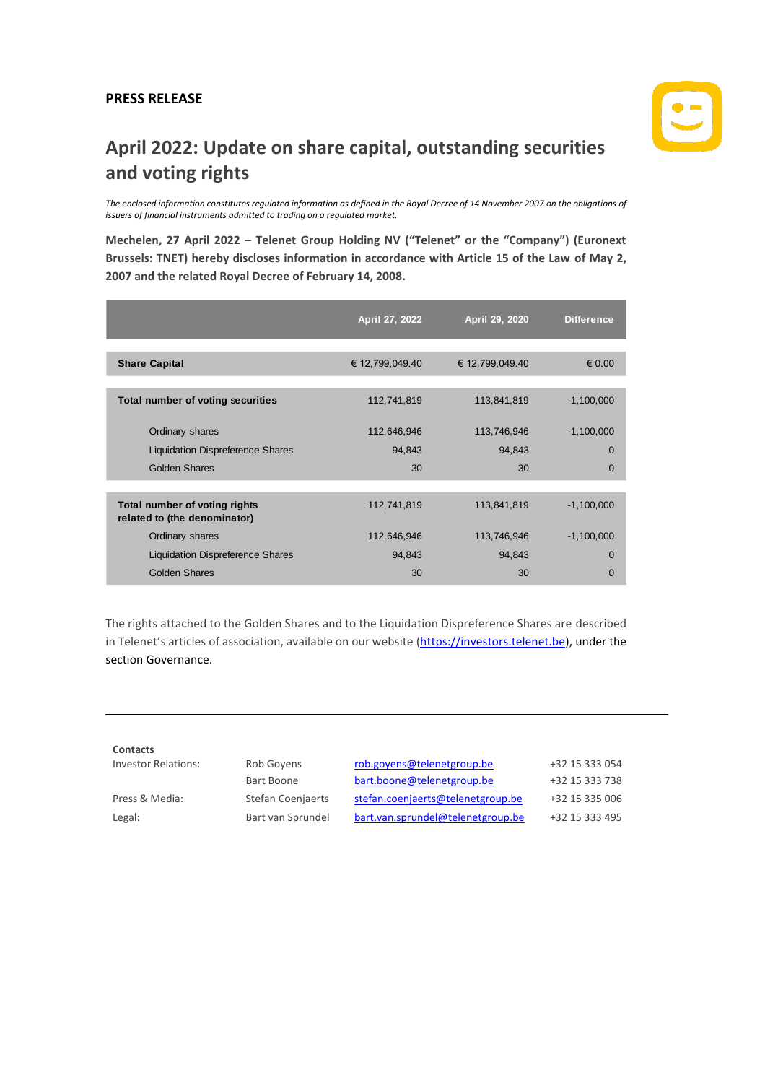## **PRESS RELEASE**



## **April 2022: Update on share capital, outstanding securities and voting rights**

*The enclosed information constitutes regulated information as defined in the Royal Decree of 14 November 2007 on the obligations of issuers of financial instruments admitted to trading on a regulated market.*

**Mechelen, 27 April 2022 – Telenet Group Holding NV ("Telenet" or the "Company") (Euronext Brussels: TNET) hereby discloses information in accordance with Article 15 of the Law of May 2, 2007 and the related Royal Decree of February 14, 2008.**

|                                                               | April 27, 2022  | April 29, 2020  | <b>Difference</b> |
|---------------------------------------------------------------|-----------------|-----------------|-------------------|
|                                                               |                 |                 |                   |
| <b>Share Capital</b>                                          | € 12,799,049.40 | € 12,799,049.40 | $\epsilon$ 0.00   |
|                                                               |                 |                 |                   |
| Total number of voting securities                             | 112,741,819     | 113,841,819     | $-1,100,000$      |
| Ordinary shares                                               | 112,646,946     | 113,746,946     | $-1,100,000$      |
| <b>Liquidation Dispreference Shares</b>                       | 94,843          | 94,843          | 0                 |
| <b>Golden Shares</b>                                          | 30              | 30              | $\mathbf 0$       |
|                                                               |                 |                 |                   |
| Total number of voting rights<br>related to (the denominator) | 112,741,819     | 113,841,819     | $-1,100,000$      |
| Ordinary shares                                               | 112,646,946     | 113,746,946     | $-1,100,000$      |
| <b>Liquidation Dispreference Shares</b>                       | 94,843          | 94,843          | $\Omega$          |
| Golden Shares                                                 | 30              | 30              | $\Omega$          |

The rights attached to the Golden Shares and to the Liquidation Dispreference Shares are described in Telenet's articles of association, available on our website [\(https://investors.telenet.be\)](https://investors.telenet.be/), under the section Governance.

| <b>Contacts</b>            |                          |                                   |                |
|----------------------------|--------------------------|-----------------------------------|----------------|
| <b>Investor Relations:</b> | Rob Goyens               | rob.goyens@telenetgroup.be        | +32 15 333 054 |
|                            | Bart Boone               | bart.boone@telenetgroup.be        | +32 15 333 738 |
| Press & Media:             | <b>Stefan Coenjaerts</b> | stefan.coenjaerts@telenetgroup.be | +32 15 335 006 |
| Legal:                     | Bart van Sprundel        | bart.van.sprundel@telenetgroup.be | +32 15 333 495 |